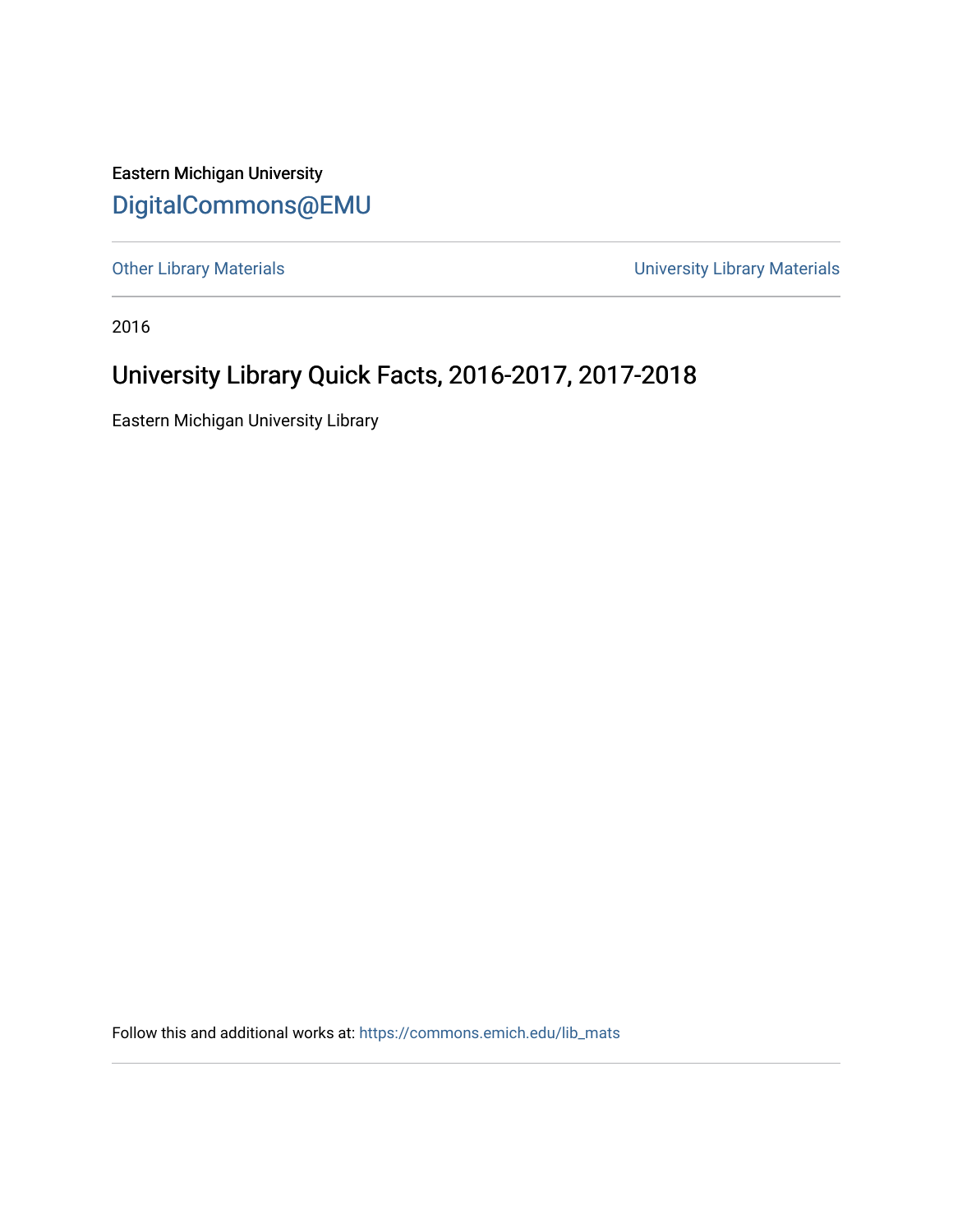Eastern Michigan University [DigitalCommons@EMU](https://commons.emich.edu/) 

[Other Library Materials](https://commons.emich.edu/lib_mats) **Other Library Materials University Library Materials** 

2016

## University Library Quick Facts, 2016-2017, 2017-2018

Eastern Michigan University Library

Follow this and additional works at: [https://commons.emich.edu/lib\\_mats](https://commons.emich.edu/lib_mats?utm_source=commons.emich.edu%2Flib_mats%2F8&utm_medium=PDF&utm_campaign=PDFCoverPages)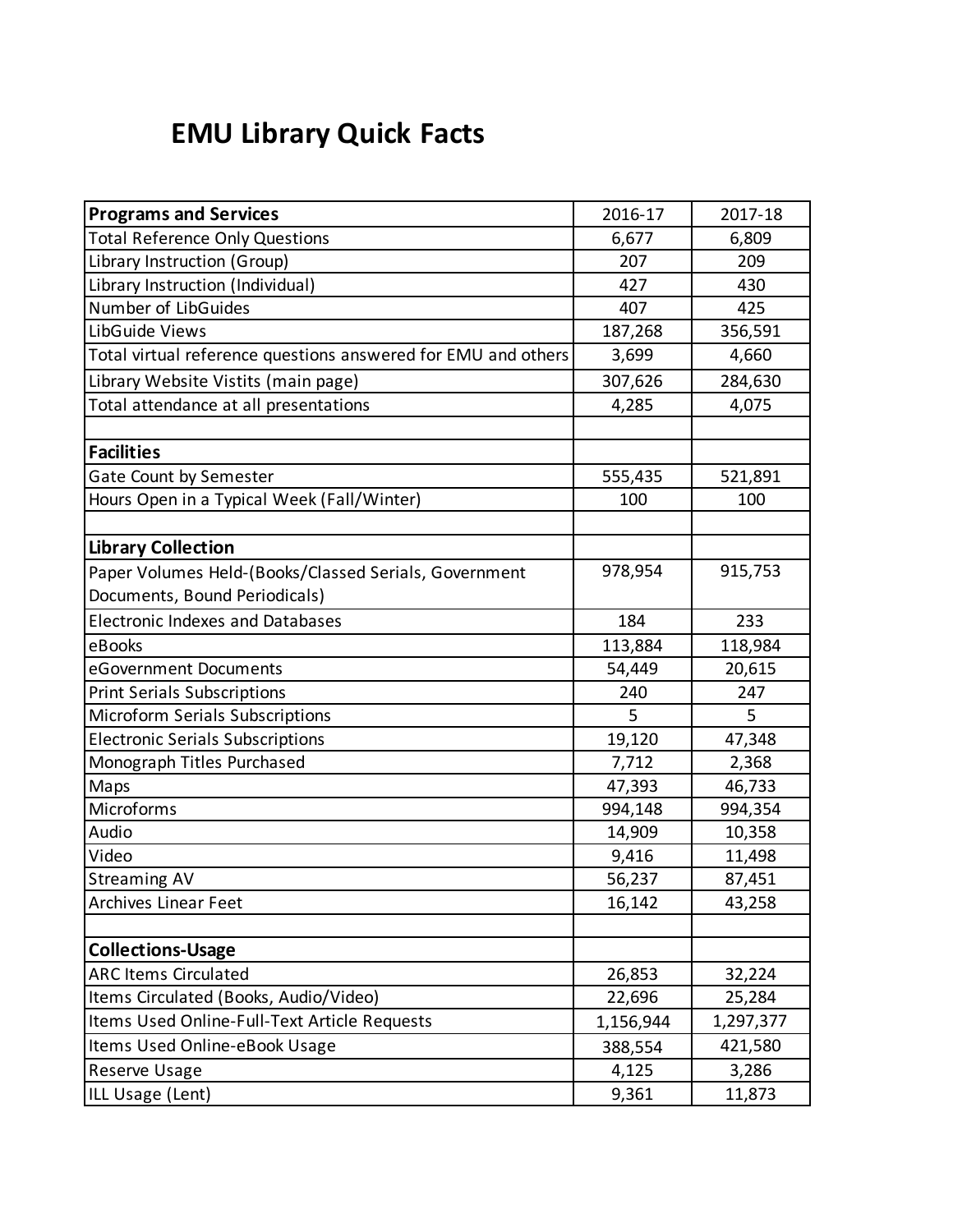## **EMU Library Quick Facts**

| <b>Programs and Services</b>                                  | 2016-17   | 2017-18   |
|---------------------------------------------------------------|-----------|-----------|
| <b>Total Reference Only Questions</b>                         | 6,677     | 6,809     |
| Library Instruction (Group)                                   | 207       | 209       |
| Library Instruction (Individual)                              | 427       | 430       |
| Number of LibGuides                                           | 407       | 425       |
| LibGuide Views                                                | 187,268   | 356,591   |
| Total virtual reference questions answered for EMU and others | 3,699     | 4,660     |
| Library Website Vistits (main page)                           | 307,626   | 284,630   |
| Total attendance at all presentations                         | 4,285     | 4,075     |
|                                                               |           |           |
| <b>Facilities</b>                                             |           |           |
| Gate Count by Semester                                        | 555,435   | 521,891   |
| Hours Open in a Typical Week (Fall/Winter)                    | 100       | 100       |
|                                                               |           |           |
| <b>Library Collection</b>                                     |           |           |
| Paper Volumes Held-(Books/Classed Serials, Government         | 978,954   | 915,753   |
| Documents, Bound Periodicals)                                 |           |           |
| <b>Electronic Indexes and Databases</b>                       | 184       | 233       |
| eBooks                                                        | 113,884   | 118,984   |
| eGovernment Documents                                         | 54,449    | 20,615    |
| <b>Print Serials Subscriptions</b>                            | 240       | 247       |
| Microform Serials Subscriptions                               | 5         | 5         |
| <b>Electronic Serials Subscriptions</b>                       | 19,120    | 47,348    |
| Monograph Titles Purchased                                    | 7,712     | 2,368     |
| Maps                                                          | 47,393    | 46,733    |
| Microforms                                                    | 994,148   | 994,354   |
| Audio                                                         | 14,909    | 10,358    |
| Video                                                         | 9,416     | 11,498    |
| <b>Streaming AV</b>                                           | 56,237    | 87,451    |
| Archives Linear Feet                                          | 16,142    | 43,258    |
|                                                               |           |           |
| <b>Collections-Usage</b>                                      |           |           |
| <b>ARC Items Circulated</b>                                   | 26,853    | 32,224    |
| Items Circulated (Books, Audio/Video)                         | 22,696    | 25,284    |
| Items Used Online-Full-Text Article Requests                  | 1,156,944 | 1,297,377 |
| Items Used Online-eBook Usage                                 | 388,554   | 421,580   |
| Reserve Usage                                                 | 4,125     | 3,286     |
| ILL Usage (Lent)                                              | 9,361     | 11,873    |